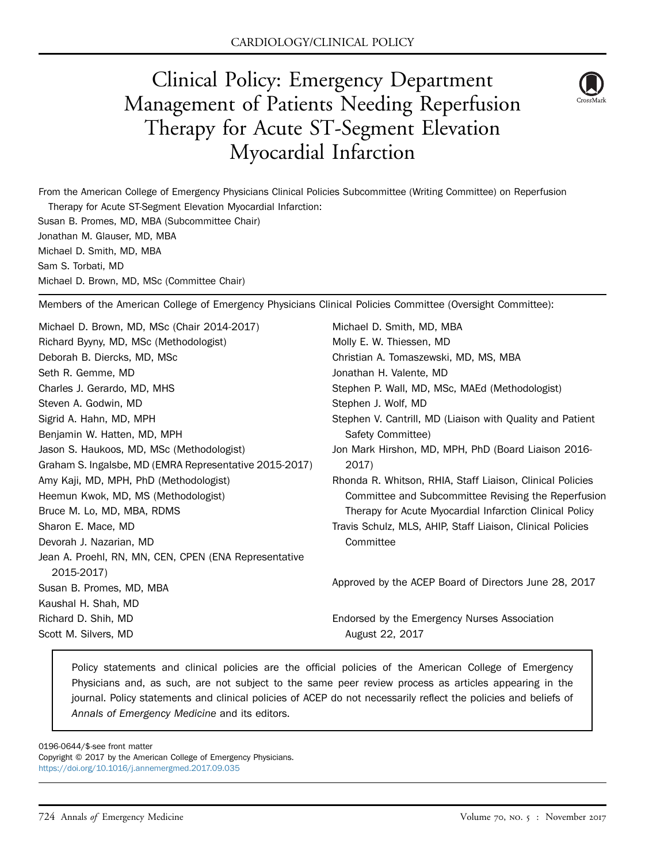# Clinical Policy: Emergency Department Management of Patients Needing Reperfusion Therapy for Acute ST-Segment Elevation Myocardial Infarction



From the American College of Emergency Physicians Clinical Policies Subcommittee (Writing Committee) on Reperfusion Therapy for Acute ST-Segment Elevation Myocardial Infarction:

Susan B. Promes, MD, MBA (Subcommittee Chair) Jonathan M. Glauser, MD, MBA Michael D. Smith, MD, MBA Sam S. Torbati, MD Michael D. Brown, MD, MSc (Committee Chair)

Members of the American College of Emergency Physicians Clinical Policies Committee (Oversight Committee):

Michael D. Brown, MD, MSc (Chair 2014-2017) Richard Byyny, MD, MSc (Methodologist) Deborah B. Diercks, MD, MSc Seth R. Gemme, MD Charles J. Gerardo, MD, MHS Steven A. Godwin, MD Sigrid A. Hahn, MD, MPH Benjamin W. Hatten, MD, MPH Jason S. Haukoos, MD, MSc (Methodologist) Graham S. Ingalsbe, MD (EMRA Representative 2015-2017) Amy Kaji, MD, MPH, PhD (Methodologist) Heemun Kwok, MD, MS (Methodologist) Bruce M. Lo, MD, MBA, RDMS Sharon E. Mace, MD Devorah J. Nazarian, MD Jean A. Proehl, RN, MN, CEN, CPEN (ENA Representative 2015-2017) Susan B. Promes, MD, MBA Kaushal H. Shah, MD Richard D. Shih, MD Scott M. Silvers, MD

Michael D. Smith, MD, MBA Molly E. W. Thiessen, MD Christian A. Tomaszewski, MD, MS, MBA Jonathan H. Valente, MD Stephen P. Wall, MD, MSc, MAEd (Methodologist) Stephen J. Wolf, MD Stephen V. Cantrill, MD (Liaison with Quality and Patient Safety Committee) Jon Mark Hirshon, MD, MPH, PhD (Board Liaison 2016- 2017) Rhonda R. Whitson, RHIA, Staff Liaison, Clinical Policies Committee and Subcommittee Revising the Reperfusion Therapy for Acute Myocardial Infarction Clinical Policy Travis Schulz, MLS, AHIP, Staff Liaison, Clinical Policies **Committee** Approved by the ACEP Board of Directors June 28, 2017

Endorsed by the Emergency Nurses Association August 22, 2017

Policy statements and clinical policies are the official policies of the American College of Emergency Physicians and, as such, are not subject to the same peer review process as articles appearing in the journal. Policy statements and clinical policies of ACEP do not necessarily reflect the policies and beliefs of Annals of Emergency Medicine and its editors.

<sup>0196-0644/\$-</sup>see front matter

Copyright © 2017 by the American College of Emergency Physicians. <https://doi.org/10.1016/j.annemergmed.2017.09.035>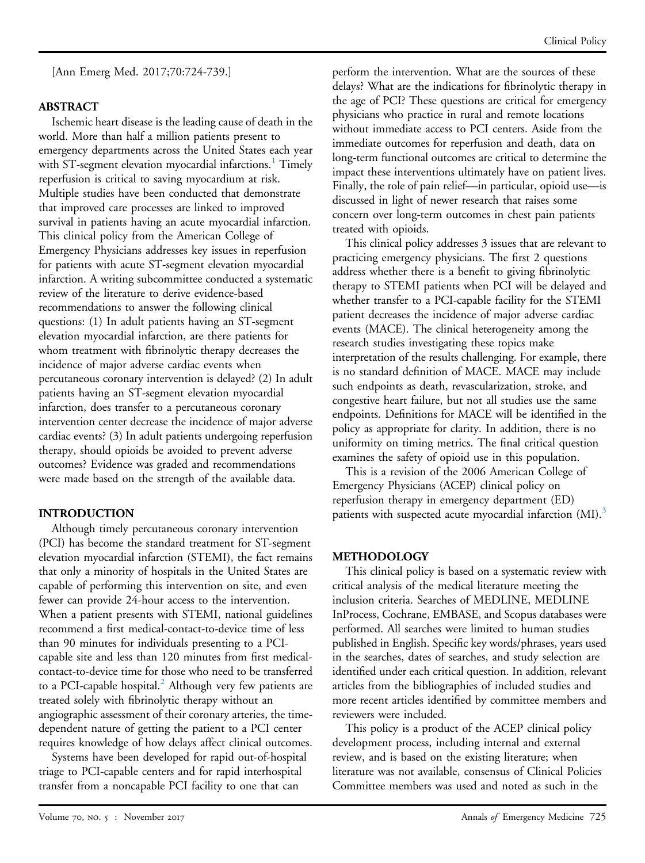[Ann Emerg Med. 2017;70:724-739.]

#### ABSTRACT

Ischemic heart disease is the leading cause of death in the world. More than half a million patients present to emergency departments across the United States each year with ST-segment elevation myocardial infarctions.<sup>1</sup> Timely reperfusion is critical to saving myocardium at risk. Multiple studies have been conducted that demonstrate that improved care processes are linked to improved survival in patients having an acute myocardial infarction. This clinical policy from the American College of Emergency Physicians addresses key issues in reperfusion for patients with acute ST-segment elevation myocardial infarction. A writing subcommittee conducted a systematic review of the literature to derive evidence-based recommendations to answer the following clinical questions: (1) In adult patients having an ST-segment elevation myocardial infarction, are there patients for whom treatment with fibrinolytic therapy decreases the incidence of major adverse cardiac events when percutaneous coronary intervention is delayed? (2) In adult patients having an ST-segment elevation myocardial infarction, does transfer to a percutaneous coronary intervention center decrease the incidence of major adverse cardiac events? (3) In adult patients undergoing reperfusion therapy, should opioids be avoided to prevent adverse outcomes? Evidence was graded and recommendations were made based on the strength of the available data.

#### INTRODUCTION

Although timely percutaneous coronary intervention (PCI) has become the standard treatment for ST-segment elevation myocardial infarction (STEMI), the fact remains that only a minority of hospitals in the United States are capable of performing this intervention on site, and even fewer can provide 24-hour access to the intervention. When a patient presents with STEMI, national guidelines recommend a first medical-contact-to-device time of less than 90 minutes for individuals presenting to a PCIcapable site and less than 120 minutes from first medicalcontact-to-device time for those who need to be transferred to a PCI-capable hospital.<sup>[2](#page-7-1)</sup> Although very few patients are treated solely with fibrinolytic therapy without an angiographic assessment of their coronary arteries, the timedependent nature of getting the patient to a PCI center requires knowledge of how delays affect clinical outcomes.

Systems have been developed for rapid out-of-hospital triage to PCI-capable centers and for rapid interhospital transfer from a noncapable PCI facility to one that can

perform the intervention. What are the sources of these delays? What are the indications for fibrinolytic therapy in the age of PCI? These questions are critical for emergency physicians who practice in rural and remote locations without immediate access to PCI centers. Aside from the immediate outcomes for reperfusion and death, data on long-term functional outcomes are critical to determine the impact these interventions ultimately have on patient lives. Finally, the role of pain relief—in particular, opioid use—is discussed in light of newer research that raises some concern over long-term outcomes in chest pain patients treated with opioids.

This clinical policy addresses 3 issues that are relevant to practicing emergency physicians. The first 2 questions address whether there is a benefit to giving fibrinolytic therapy to STEMI patients when PCI will be delayed and whether transfer to a PCI-capable facility for the STEMI patient decreases the incidence of major adverse cardiac events (MACE). The clinical heterogeneity among the research studies investigating these topics make interpretation of the results challenging. For example, there is no standard definition of MACE. MACE may include such endpoints as death, revascularization, stroke, and congestive heart failure, but not all studies use the same endpoints. Definitions for MACE will be identified in the policy as appropriate for clarity. In addition, there is no uniformity on timing metrics. The final critical question examines the safety of opioid use in this population.

This is a revision of the 2006 American College of Emergency Physicians (ACEP) clinical policy on reperfusion therapy in emergency department (ED) patients with suspected acute myocardial infarction  $(MI)$ .<sup>[3](#page-7-2)</sup>

#### METHODOLOGY

This clinical policy is based on a systematic review with critical analysis of the medical literature meeting the inclusion criteria. Searches of MEDLINE, MEDLINE InProcess, Cochrane, EMBASE, and Scopus databases were performed. All searches were limited to human studies published in English. Specific key words/phrases, years used in the searches, dates of searches, and study selection are identified under each critical question. In addition, relevant articles from the bibliographies of included studies and more recent articles identified by committee members and reviewers were included.

This policy is a product of the ACEP clinical policy development process, including internal and external review, and is based on the existing literature; when literature was not available, consensus of Clinical Policies Committee members was used and noted as such in the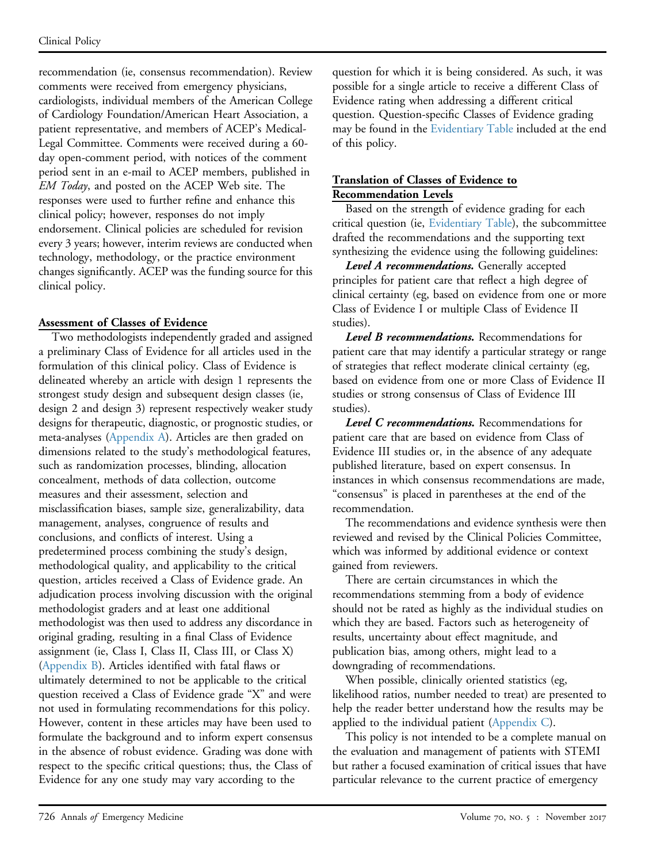recommendation (ie, consensus recommendation). Review comments were received from emergency physicians, cardiologists, individual members of the American College of Cardiology Foundation/American Heart Association, a patient representative, and members of ACEP's Medical-Legal Committee. Comments were received during a 60 day open-comment period, with notices of the comment period sent in an e-mail to ACEP members, published in EM Today, and posted on the ACEP Web site. The responses were used to further refine and enhance this clinical policy; however, responses do not imply endorsement. Clinical policies are scheduled for revision every 3 years; however, interim reviews are conducted when technology, methodology, or the practice environment changes significantly. ACEP was the funding source for this clinical policy.

## Assessment of Classes of Evidence

Two methodologists independently graded and assigned a preliminary Class of Evidence for all articles used in the formulation of this clinical policy. Class of Evidence is delineated whereby an article with design 1 represents the strongest study design and subsequent design classes (ie, design 2 and design 3) represent respectively weaker study designs for therapeutic, diagnostic, or prognostic studies, or meta-analyses [\(Appendix A](#page-9-0)). Articles are then graded on dimensions related to the study's methodological features, such as randomization processes, blinding, allocation concealment, methods of data collection, outcome measures and their assessment, selection and misclassification biases, sample size, generalizability, data management, analyses, congruence of results and conclusions, and conflicts of interest. Using a predetermined process combining the study's design, methodological quality, and applicability to the critical question, articles received a Class of Evidence grade. An adjudication process involving discussion with the original methodologist graders and at least one additional methodologist was then used to address any discordance in original grading, resulting in a final Class of Evidence assignment (ie, Class I, Class II, Class III, or Class X) [\(Appendix B](#page-9-1)). Articles identified with fatal flaws or ultimately determined to not be applicable to the critical question received a Class of Evidence grade "X" and were not used in formulating recommendations for this policy. However, content in these articles may have been used to formulate the background and to inform expert consensus in the absence of robust evidence. Grading was done with respect to the specific critical questions; thus, the Class of Evidence for any one study may vary according to the

question for which it is being considered. As such, it was possible for a single article to receive a different Class of Evidence rating when addressing a different critical question. Question-specific Classes of Evidence grading may be found in the [Evidentiary Table](#page-9-2) included at the end of this policy.

#### Translation of Classes of Evidence to Recommendation Levels

Based on the strength of evidence grading for each critical question (ie, [Evidentiary Table](#page-9-2)), the subcommittee drafted the recommendations and the supporting text synthesizing the evidence using the following guidelines:

Level A recommendations. Generally accepted principles for patient care that reflect a high degree of clinical certainty (eg, based on evidence from one or more Class of Evidence I or multiple Class of Evidence II studies).

Level B recommendations. Recommendations for patient care that may identify a particular strategy or range of strategies that reflect moderate clinical certainty (eg, based on evidence from one or more Class of Evidence II studies or strong consensus of Class of Evidence III studies).

Level C recommendations. Recommendations for patient care that are based on evidence from Class of Evidence III studies or, in the absence of any adequate published literature, based on expert consensus. In instances in which consensus recommendations are made, "consensus" is placed in parentheses at the end of the recommendation.

The recommendations and evidence synthesis were then reviewed and revised by the Clinical Policies Committee, which was informed by additional evidence or context gained from reviewers.

There are certain circumstances in which the recommendations stemming from a body of evidence should not be rated as highly as the individual studies on which they are based. Factors such as heterogeneity of results, uncertainty about effect magnitude, and publication bias, among others, might lead to a downgrading of recommendations.

When possible, clinically oriented statistics (eg, likelihood ratios, number needed to treat) are presented to help the reader better understand how the results may be applied to the individual patient [\(Appendix C](#page-9-3)).

This policy is not intended to be a complete manual on the evaluation and management of patients with STEMI but rather a focused examination of critical issues that have particular relevance to the current practice of emergency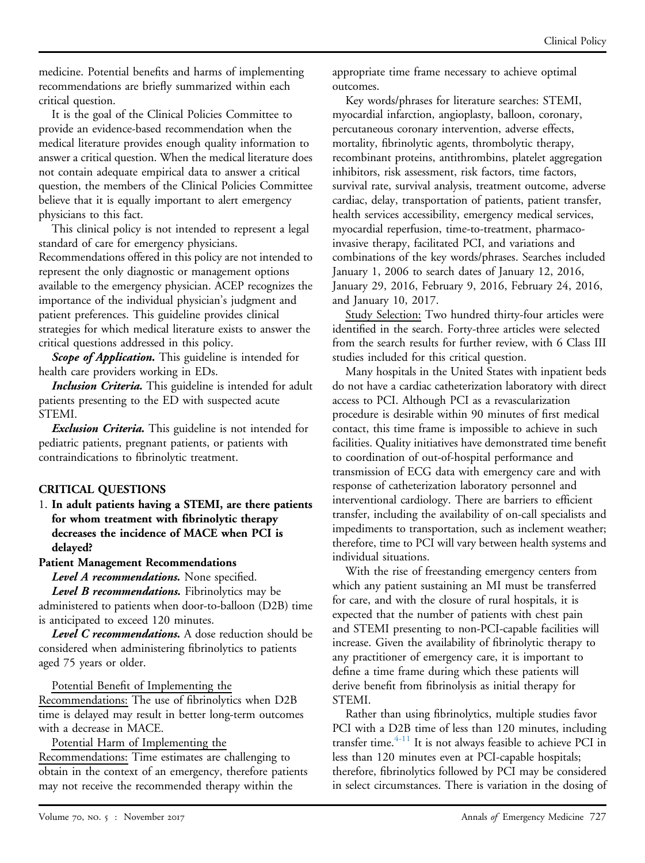medicine. Potential benefits and harms of implementing recommendations are briefly summarized within each critical question.

It is the goal of the Clinical Policies Committee to provide an evidence-based recommendation when the medical literature provides enough quality information to answer a critical question. When the medical literature does not contain adequate empirical data to answer a critical question, the members of the Clinical Policies Committee believe that it is equally important to alert emergency physicians to this fact.

This clinical policy is not intended to represent a legal standard of care for emergency physicians. Recommendations offered in this policy are not intended to represent the only diagnostic or management options available to the emergency physician. ACEP recognizes the importance of the individual physician's judgment and patient preferences. This guideline provides clinical strategies for which medical literature exists to answer the critical questions addressed in this policy.

Scope of Application. This guideline is intended for health care providers working in EDs.

**Inclusion Criteria.** This guideline is intended for adult patients presenting to the ED with suspected acute STEMI.

**Exclusion Criteria.** This guideline is not intended for pediatric patients, pregnant patients, or patients with contraindications to fibrinolytic treatment.

#### CRITICAL QUESTIONS

1. In adult patients having a STEMI, are there patients for whom treatment with fibrinolytic therapy decreases the incidence of MACE when PCI is delayed?

Patient Management Recommendations

Level A recommendations. None specified.

Level B recommendations. Fibrinolytics may be administered to patients when door-to-balloon (D2B) time is anticipated to exceed 120 minutes.

Level C recommendations. A dose reduction should be considered when administering fibrinolytics to patients aged 75 years or older.

Potential Benefit of Implementing the

Recommendations: The use of fibrinolytics when D2B time is delayed may result in better long-term outcomes with a decrease in MACE.

Potential Harm of Implementing the Recommendations: Time estimates are challenging to obtain in the context of an emergency, therefore patients may not receive the recommended therapy within the

appropriate time frame necessary to achieve optimal outcomes.

Key words/phrases for literature searches: STEMI, myocardial infarction, angioplasty, balloon, coronary, percutaneous coronary intervention, adverse effects, mortality, fibrinolytic agents, thrombolytic therapy, recombinant proteins, antithrombins, platelet aggregation inhibitors, risk assessment, risk factors, time factors, survival rate, survival analysis, treatment outcome, adverse cardiac, delay, transportation of patients, patient transfer, health services accessibility, emergency medical services, myocardial reperfusion, time-to-treatment, pharmacoinvasive therapy, facilitated PCI, and variations and combinations of the key words/phrases. Searches included January 1, 2006 to search dates of January 12, 2016, January 29, 2016, February 9, 2016, February 24, 2016, and January 10, 2017.

Study Selection: Two hundred thirty-four articles were identified in the search. Forty-three articles were selected from the search results for further review, with 6 Class III studies included for this critical question.

Many hospitals in the United States with inpatient beds do not have a cardiac catheterization laboratory with direct access to PCI. Although PCI as a revascularization procedure is desirable within 90 minutes of first medical contact, this time frame is impossible to achieve in such facilities. Quality initiatives have demonstrated time benefit to coordination of out-of-hospital performance and transmission of ECG data with emergency care and with response of catheterization laboratory personnel and interventional cardiology. There are barriers to efficient transfer, including the availability of on-call specialists and impediments to transportation, such as inclement weather; therefore, time to PCI will vary between health systems and individual situations.

With the rise of freestanding emergency centers from which any patient sustaining an MI must be transferred for care, and with the closure of rural hospitals, it is expected that the number of patients with chest pain and STEMI presenting to non-PCI-capable facilities will increase. Given the availability of fibrinolytic therapy to any practitioner of emergency care, it is important to define a time frame during which these patients will derive benefit from fibrinolysis as initial therapy for STEMI.

Rather than using fibrinolytics, multiple studies favor PCI with a D2B time of less than 120 minutes, including transfer time. $4-11$  It is not always feasible to achieve PCI in less than 120 minutes even at PCI-capable hospitals; therefore, fibrinolytics followed by PCI may be considered in select circumstances. There is variation in the dosing of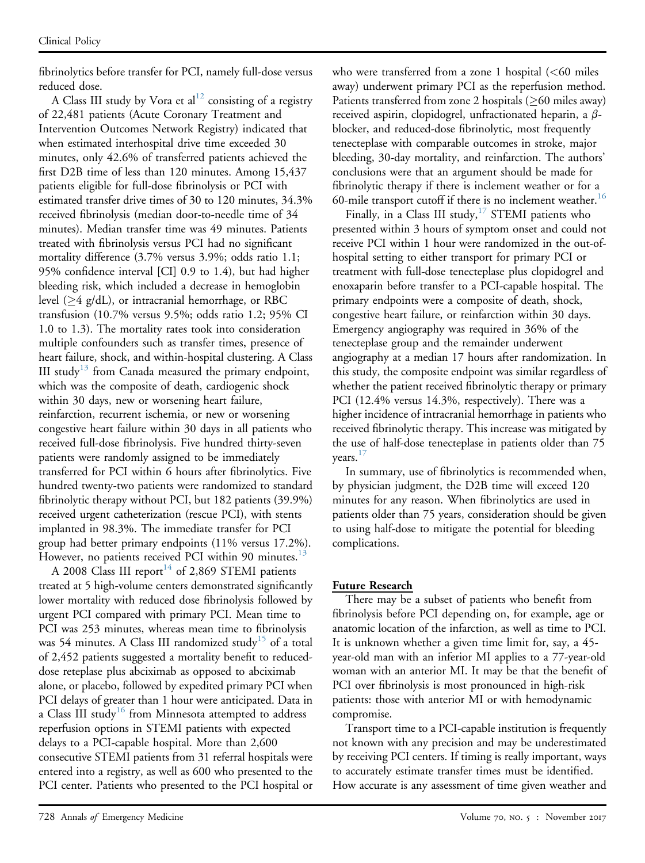fibrinolytics before transfer for PCI, namely full-dose versus reduced dose.

A Class III study by Vora et al<sup>[12](#page-7-4)</sup> consisting of a registry of 22,481 patients (Acute Coronary Treatment and Intervention Outcomes Network Registry) indicated that when estimated interhospital drive time exceeded 30 minutes, only 42.6% of transferred patients achieved the first D2B time of less than 120 minutes. Among 15,437 patients eligible for full-dose fibrinolysis or PCI with estimated transfer drive times of 30 to 120 minutes, 34.3% received fibrinolysis (median door-to-needle time of 34 minutes). Median transfer time was 49 minutes. Patients treated with fibrinolysis versus PCI had no significant mortality difference (3.7% versus 3.9%; odds ratio 1.1; 95% confidence interval [CI] 0.9 to 1.4), but had higher bleeding risk, which included a decrease in hemoglobin level  $(\geq 4 \text{ g/dL})$ , or intracranial hemorrhage, or RBC transfusion (10.7% versus 9.5%; odds ratio 1.2; 95% CI 1.0 to 1.3). The mortality rates took into consideration multiple confounders such as transfer times, presence of heart failure, shock, and within-hospital clustering. A Class III study<sup>13</sup> from Canada measured the primary endpoint, which was the composite of death, cardiogenic shock within 30 days, new or worsening heart failure, reinfarction, recurrent ischemia, or new or worsening congestive heart failure within 30 days in all patients who received full-dose fibrinolysis. Five hundred thirty-seven patients were randomly assigned to be immediately transferred for PCI within 6 hours after fibrinolytics. Five hundred twenty-two patients were randomized to standard fibrinolytic therapy without PCI, but 182 patients (39.9%) received urgent catheterization (rescue PCI), with stents implanted in 98.3%. The immediate transfer for PCI group had better primary endpoints (11% versus 17.2%). However, no patients received PCI within 90 minutes.<sup>13</sup>

A 2008 Class III report<sup>[14](#page-8-0)</sup> of 2,869 STEMI patients treated at 5 high-volume centers demonstrated significantly lower mortality with reduced dose fibrinolysis followed by urgent PCI compared with primary PCI. Mean time to PCI was 253 minutes, whereas mean time to fibrinolysis was 54 minutes. A Class III randomized study<sup>15</sup> of a total of 2,452 patients suggested a mortality benefit to reduceddose reteplase plus abciximab as opposed to abciximab alone, or placebo, followed by expedited primary PCI when PCI delays of greater than 1 hour were anticipated. Data in a Class III study<sup>16</sup> from Minnesota attempted to address reperfusion options in STEMI patients with expected delays to a PCI-capable hospital. More than 2,600 consecutive STEMI patients from 31 referral hospitals were entered into a registry, as well as 600 who presented to the PCI center. Patients who presented to the PCI hospital or

who were transferred from a zone 1 hospital  $(< 60$  miles away) underwent primary PCI as the reperfusion method. Patients transferred from zone 2 hospitals ( $\geq 60$  miles away) received aspirin, clopidogrel, unfractionated heparin, a  $\beta$ blocker, and reduced-dose fibrinolytic, most frequently tenecteplase with comparable outcomes in stroke, major bleeding, 30-day mortality, and reinfarction. The authors' conclusions were that an argument should be made for fibrinolytic therapy if there is inclement weather or for a 60-mile transport cutoff if there is no inclement weather.<sup>[16](#page-8-2)</sup>

Finally, in a Class III study,  $17$  STEMI patients who presented within 3 hours of symptom onset and could not receive PCI within 1 hour were randomized in the out-ofhospital setting to either transport for primary PCI or treatment with full-dose tenecteplase plus clopidogrel and enoxaparin before transfer to a PCI-capable hospital. The primary endpoints were a composite of death, shock, congestive heart failure, or reinfarction within 30 days. Emergency angiography was required in 36% of the tenecteplase group and the remainder underwent angiography at a median 17 hours after randomization. In this study, the composite endpoint was similar regardless of whether the patient received fibrinolytic therapy or primary PCI (12.4% versus 14.3%, respectively). There was a higher incidence of intracranial hemorrhage in patients who received fibrinolytic therapy. This increase was mitigated by the use of half-dose tenecteplase in patients older than 75 years.<sup>[17](#page-8-3)</sup>

In summary, use of fibrinolytics is recommended when, by physician judgment, the D2B time will exceed 120 minutes for any reason. When fibrinolytics are used in patients older than 75 years, consideration should be given to using half-dose to mitigate the potential for bleeding complications.

#### Future Research

There may be a subset of patients who benefit from fibrinolysis before PCI depending on, for example, age or anatomic location of the infarction, as well as time to PCI. It is unknown whether a given time limit for, say, a 45 year-old man with an inferior MI applies to a 77-year-old woman with an anterior MI. It may be that the benefit of PCI over fibrinolysis is most pronounced in high-risk patients: those with anterior MI or with hemodynamic compromise.

Transport time to a PCI-capable institution is frequently not known with any precision and may be underestimated by receiving PCI centers. If timing is really important, ways to accurately estimate transfer times must be identified. How accurate is any assessment of time given weather and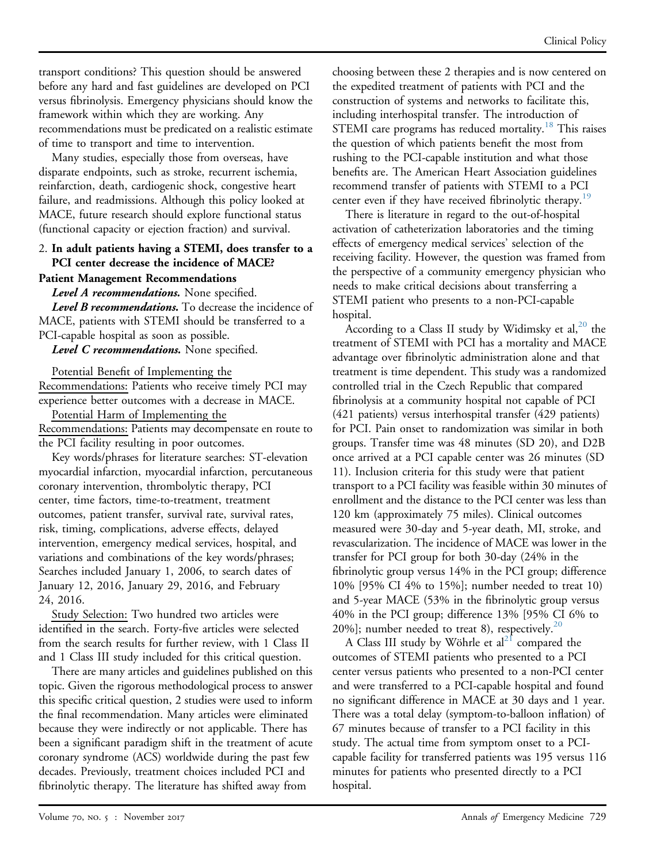transport conditions? This question should be answered before any hard and fast guidelines are developed on PCI versus fibrinolysis. Emergency physicians should know the framework within which they are working. Any recommendations must be predicated on a realistic estimate of time to transport and time to intervention.

Many studies, especially those from overseas, have disparate endpoints, such as stroke, recurrent ischemia, reinfarction, death, cardiogenic shock, congestive heart failure, and readmissions. Although this policy looked at MACE, future research should explore functional status (functional capacity or ejection fraction) and survival.

## 2. In adult patients having a STEMI, does transfer to a PCI center decrease the incidence of MACE?

Patient Management Recommendations

Level A recommendations. None specified.

**Level B recommendations.** To decrease the incidence of MACE, patients with STEMI should be transferred to a PCI-capable hospital as soon as possible.

Level C recommendations. None specified.

Potential Benefit of Implementing the Recommendations: Patients who receive timely PCI may experience better outcomes with a decrease in MACE.

Potential Harm of Implementing the Recommendations: Patients may decompensate en route to the PCI facility resulting in poor outcomes.

Key words/phrases for literature searches: ST-elevation myocardial infarction, myocardial infarction, percutaneous coronary intervention, thrombolytic therapy, PCI center, time factors, time-to-treatment, treatment outcomes, patient transfer, survival rate, survival rates, risk, timing, complications, adverse effects, delayed intervention, emergency medical services, hospital, and variations and combinations of the key words/phrases; Searches included January 1, 2006, to search dates of January 12, 2016, January 29, 2016, and February 24, 2016.

Study Selection: Two hundred two articles were identified in the search. Forty-five articles were selected from the search results for further review, with 1 Class II and 1 Class III study included for this critical question.

There are many articles and guidelines published on this topic. Given the rigorous methodological process to answer this specific critical question, 2 studies were used to inform the final recommendation. Many articles were eliminated because they were indirectly or not applicable. There has been a significant paradigm shift in the treatment of acute coronary syndrome (ACS) worldwide during the past few decades. Previously, treatment choices included PCI and fibrinolytic therapy. The literature has shifted away from

choosing between these 2 therapies and is now centered on the expedited treatment of patients with PCI and the construction of systems and networks to facilitate this, including interhospital transfer. The introduction of STEMI care programs has reduced mortality.<sup>18</sup> This raises the question of which patients benefit the most from rushing to the PCI-capable institution and what those benefits are. The American Heart Association guidelines recommend transfer of patients with STEMI to a PCI center even if they have received fibrinolytic therapy.<sup>19</sup>

There is literature in regard to the out-of-hospital activation of catheterization laboratories and the timing effects of emergency medical services' selection of the receiving facility. However, the question was framed from the perspective of a community emergency physician who needs to make critical decisions about transferring a STEMI patient who presents to a non-PCI-capable hospital.

According to a Class II study by Widimsky et al,  $^{20}$  $^{20}$  $^{20}$  the treatment of STEMI with PCI has a mortality and MACE advantage over fibrinolytic administration alone and that treatment is time dependent. This study was a randomized controlled trial in the Czech Republic that compared fibrinolysis at a community hospital not capable of PCI (421 patients) versus interhospital transfer (429 patients) for PCI. Pain onset to randomization was similar in both groups. Transfer time was 48 minutes (SD 20), and D2B once arrived at a PCI capable center was 26 minutes (SD 11). Inclusion criteria for this study were that patient transport to a PCI facility was feasible within 30 minutes of enrollment and the distance to the PCI center was less than 120 km (approximately 75 miles). Clinical outcomes measured were 30-day and 5-year death, MI, stroke, and revascularization. The incidence of MACE was lower in the transfer for PCI group for both 30-day (24% in the fibrinolytic group versus 14% in the PCI group; difference 10% [95% CI 4% to 15%]; number needed to treat 10) and 5-year MACE (53% in the fibrinolytic group versus 40% in the PCI group; difference 13% [95% CI 6% to 20%]; number needed to treat 8), respectively.<sup>20</sup>

A Class III study by Wöhrle et  $al<sup>21</sup>$  compared the outcomes of STEMI patients who presented to a PCI center versus patients who presented to a non-PCI center and were transferred to a PCI-capable hospital and found no significant difference in MACE at 30 days and 1 year. There was a total delay (symptom-to-balloon inflation) of 67 minutes because of transfer to a PCI facility in this study. The actual time from symptom onset to a PCIcapable facility for transferred patients was 195 versus 116 minutes for patients who presented directly to a PCI hospital.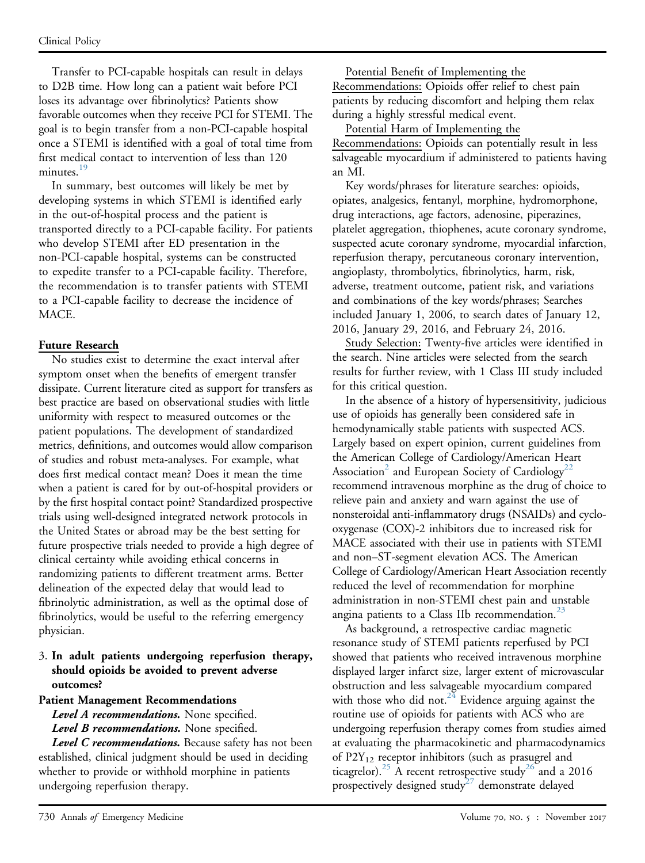Transfer to PCI-capable hospitals can result in delays to D2B time. How long can a patient wait before PCI loses its advantage over fibrinolytics? Patients show favorable outcomes when they receive PCI for STEMI. The goal is to begin transfer from a non-PCI-capable hospital once a STEMI is identified with a goal of total time from first medical contact to intervention of less than 120 minutes $^{19}$ 

In summary, best outcomes will likely be met by developing systems in which STEMI is identified early in the out-of-hospital process and the patient is transported directly to a PCI-capable facility. For patients who develop STEMI after ED presentation in the non-PCI-capable hospital, systems can be constructed to expedite transfer to a PCI-capable facility. Therefore, the recommendation is to transfer patients with STEMI to a PCI-capable facility to decrease the incidence of MACE.

## Future Research

No studies exist to determine the exact interval after symptom onset when the benefits of emergent transfer dissipate. Current literature cited as support for transfers as best practice are based on observational studies with little uniformity with respect to measured outcomes or the patient populations. The development of standardized metrics, definitions, and outcomes would allow comparison of studies and robust meta-analyses. For example, what does first medical contact mean? Does it mean the time when a patient is cared for by out-of-hospital providers or by the first hospital contact point? Standardized prospective trials using well-designed integrated network protocols in the United States or abroad may be the best setting for future prospective trials needed to provide a high degree of clinical certainty while avoiding ethical concerns in randomizing patients to different treatment arms. Better delineation of the expected delay that would lead to fibrinolytic administration, as well as the optimal dose of fibrinolytics, would be useful to the referring emergency physician.

## 3. In adult patients undergoing reperfusion therapy, should opioids be avoided to prevent adverse outcomes?

#### Patient Management Recommendations

Level A recommendations. None specified. Level B recommendations. None specified.

Level C recommendations. Because safety has not been established, clinical judgment should be used in deciding whether to provide or withhold morphine in patients undergoing reperfusion therapy.

Potential Benefit of Implementing the Recommendations: Opioids offer relief to chest pain patients by reducing discomfort and helping them relax during a highly stressful medical event.

Potential Harm of Implementing the Recommendations: Opioids can potentially result in less salvageable myocardium if administered to patients having an MI.

Key words/phrases for literature searches: opioids, opiates, analgesics, fentanyl, morphine, hydromorphone, drug interactions, age factors, adenosine, piperazines, platelet aggregation, thiophenes, acute coronary syndrome, suspected acute coronary syndrome, myocardial infarction, reperfusion therapy, percutaneous coronary intervention, angioplasty, thrombolytics, fibrinolytics, harm, risk, adverse, treatment outcome, patient risk, and variations and combinations of the key words/phrases; Searches included January 1, 2006, to search dates of January 12, 2016, January 29, 2016, and February 24, 2016.

Study Selection: Twenty-five articles were identified in the search. Nine articles were selected from the search results for further review, with 1 Class III study included for this critical question.

In the absence of a history of hypersensitivity, judicious use of opioids has generally been considered safe in hemodynamically stable patients with suspected ACS. Largely based on expert opinion, current guidelines from the American College of Cardiology/American Heart Association<sup>[2](#page-7-1)</sup> and European Society of Cardiology<sup>[22](#page-8-8)</sup> recommend intravenous morphine as the drug of choice to relieve pain and anxiety and warn against the use of nonsteroidal anti-inflammatory drugs (NSAIDs) and cyclooxygenase (COX)-2 inhibitors due to increased risk for MACE associated with their use in patients with STEMI and non–ST-segment elevation ACS. The American College of Cardiology/American Heart Association recently reduced the level of recommendation for morphine administration in non-STEMI chest pain and unstable angina patients to a Class IIb recommendation.<sup>[23](#page-8-9)</sup>

As background, a retrospective cardiac magnetic resonance study of STEMI patients reperfused by PCI showed that patients who received intravenous morphine displayed larger infarct size, larger extent of microvascular obstruction and less salvageable myocardium compared with those who did not. $^{24}$  Evidence arguing against the routine use of opioids for patients with ACS who are undergoing reperfusion therapy comes from studies aimed at evaluating the pharmacokinetic and pharmacodynamics of  $P2Y_{12}$  receptor inhibitors (such as prasugrel and ticagrelor).<sup>25</sup> A recent retrospective study<sup>[26](#page-8-12)</sup> and a 2016 prospectively designed study<sup>27</sup> demonstrate delayed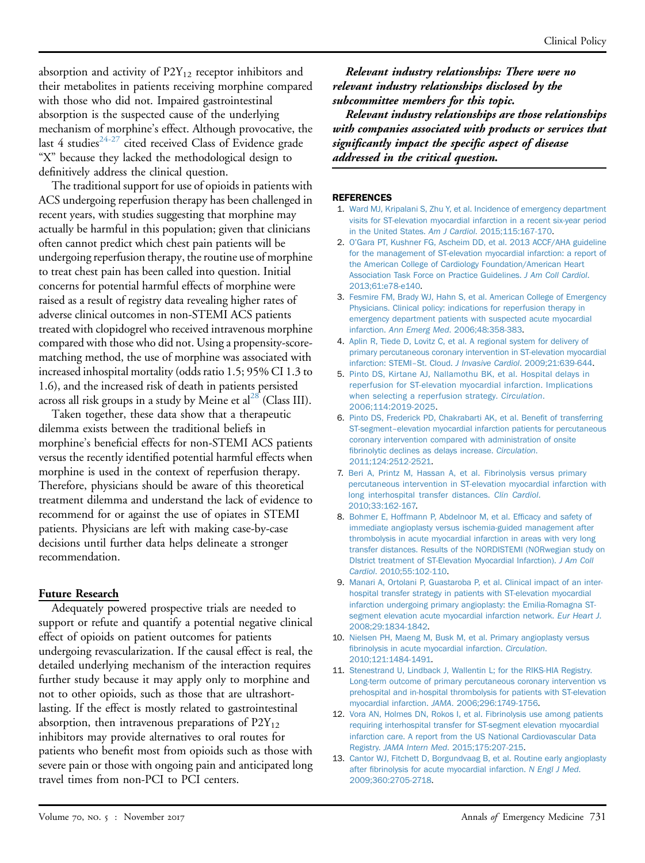absorption and activity of  $P2Y_{12}$  receptor inhibitors and their metabolites in patients receiving morphine compared with those who did not. Impaired gastrointestinal absorption is the suspected cause of the underlying mechanism of morphine's effect. Although provocative, the last 4 studies<sup>[24-27](#page-8-10)</sup> cited received Class of Evidence grade "X" because they lacked the methodological design to definitively address the clinical question.

The traditional support for use of opioids in patients with ACS undergoing reperfusion therapy has been challenged in recent years, with studies suggesting that morphine may actually be harmful in this population; given that clinicians often cannot predict which chest pain patients will be undergoing reperfusion therapy, the routine use of morphine to treat chest pain has been called into question. Initial concerns for potential harmful effects of morphine were raised as a result of registry data revealing higher rates of adverse clinical outcomes in non-STEMI ACS patients treated with clopidogrel who received intravenous morphine compared with those who did not. Using a propensity-scorematching method, the use of morphine was associated with increased inhospital mortality (odds ratio 1.5; 95% CI 1.3 to 1.6), and the increased risk of death in patients persisted across all risk groups in a study by Meine et al<sup>[28](#page-8-14)</sup> (Class III).

Taken together, these data show that a therapeutic dilemma exists between the traditional beliefs in morphine's beneficial effects for non-STEMI ACS patients versus the recently identified potential harmful effects when morphine is used in the context of reperfusion therapy. Therefore, physicians should be aware of this theoretical treatment dilemma and understand the lack of evidence to recommend for or against the use of opiates in STEMI patients. Physicians are left with making case-by-case decisions until further data helps delineate a stronger recommendation.

#### Future Research

Adequately powered prospective trials are needed to support or refute and quantify a potential negative clinical effect of opioids on patient outcomes for patients undergoing revascularization. If the causal effect is real, the detailed underlying mechanism of the interaction requires further study because it may apply only to morphine and not to other opioids, such as those that are ultrashortlasting. If the effect is mostly related to gastrointestinal absorption, then intravenous preparations of  $P2Y_{12}$ inhibitors may provide alternatives to oral routes for patients who benefit most from opioids such as those with severe pain or those with ongoing pain and anticipated long travel times from non-PCI to PCI centers.

Relevant industry relationships: There were no relevant industry relationships disclosed by the subcommittee members for this topic.

Relevant industry relationships are those relationships with companies associated with products or services that significantly impact the specific aspect of disease addressed in the critical question.

#### <span id="page-7-0"></span>**REFERENCES**

- 1. [Ward MJ, Kripalani S, Zhu Y, et al. Incidence of emergency department](http://refhub.elsevier.com/S0196-0644(17)31743-2/sref1) [visits for ST-elevation myocardial infarction in a recent six-year period](http://refhub.elsevier.com/S0196-0644(17)31743-2/sref1) in the United States. Am J Cardiol[. 2015;115:167-170.](http://refhub.elsevier.com/S0196-0644(17)31743-2/sref1)
- <span id="page-7-1"></span>2. O'[Gara PT, Kushner FG, Ascheim DD, et al. 2013 ACCF/AHA guideline](http://refhub.elsevier.com/S0196-0644(17)31743-2/sref2) [for the management of ST-elevation myocardial infarction: a report of](http://refhub.elsevier.com/S0196-0644(17)31743-2/sref2) [the American College of Cardiology Foundation/American Heart](http://refhub.elsevier.com/S0196-0644(17)31743-2/sref2) [Association Task Force on Practice Guidelines.](http://refhub.elsevier.com/S0196-0644(17)31743-2/sref2) J Am Coll Cardiol. [2013;61:e78-e140](http://refhub.elsevier.com/S0196-0644(17)31743-2/sref2).
- <span id="page-7-2"></span>3. [Fesmire FM, Brady WJ, Hahn S, et al. American College of Emergency](http://refhub.elsevier.com/S0196-0644(17)31743-2/sref3) [Physicians. Clinical policy: indications for reperfusion therapy in](http://refhub.elsevier.com/S0196-0644(17)31743-2/sref3) [emergency department patients with suspected acute myocardial](http://refhub.elsevier.com/S0196-0644(17)31743-2/sref3) infarction. Ann Emerg Med[. 2006;48:358-383.](http://refhub.elsevier.com/S0196-0644(17)31743-2/sref3)
- <span id="page-7-3"></span>4. [Aplin R, Tiede D, Lovitz C, et al. A regional system for delivery of](http://refhub.elsevier.com/S0196-0644(17)31743-2/sref4) [primary percutaneous coronary intervention in ST-elevation myocardial](http://refhub.elsevier.com/S0196-0644(17)31743-2/sref4) [infarction: STEMI](http://refhub.elsevier.com/S0196-0644(17)31743-2/sref4)–St. Cloud. J Invasive Cardiol[. 2009;21:639-644](http://refhub.elsevier.com/S0196-0644(17)31743-2/sref4).
- 5. [Pinto DS, Kirtane AJ, Nallamothu BK, et al. Hospital delays in](http://refhub.elsevier.com/S0196-0644(17)31743-2/sref5) [reperfusion for ST-elevation myocardial infarction. Implications](http://refhub.elsevier.com/S0196-0644(17)31743-2/sref5) [when selecting a reperfusion strategy.](http://refhub.elsevier.com/S0196-0644(17)31743-2/sref5) Circulation. [2006;114:2019-2025](http://refhub.elsevier.com/S0196-0644(17)31743-2/sref5).
- 6. [Pinto DS, Frederick PD, Chakrabarti AK, et al. Bene](http://refhub.elsevier.com/S0196-0644(17)31743-2/sref6)fit of transferring [ST-segment](http://refhub.elsevier.com/S0196-0644(17)31743-2/sref6)–[elevation myocardial infarction patients for percutaneous](http://refhub.elsevier.com/S0196-0644(17)31743-2/sref6) [coronary intervention compared with administration of onsite](http://refhub.elsevier.com/S0196-0644(17)31743-2/sref6) fi[brinolytic declines as delays increase.](http://refhub.elsevier.com/S0196-0644(17)31743-2/sref6) Circulation. [2011;124:2512-2521](http://refhub.elsevier.com/S0196-0644(17)31743-2/sref6).
- 7. [Beri A, Printz M, Hassan A, et al. Fibrinolysis versus primary](http://refhub.elsevier.com/S0196-0644(17)31743-2/sref7) [percutaneous intervention in ST-elevation myocardial infarction with](http://refhub.elsevier.com/S0196-0644(17)31743-2/sref7) [long interhospital transfer distances.](http://refhub.elsevier.com/S0196-0644(17)31743-2/sref7) Clin Cardiol. [2010;33:162-167.](http://refhub.elsevier.com/S0196-0644(17)31743-2/sref7)
- 8. [Bohmer E, Hoffmann P, Abdelnoor M, et al. Ef](http://refhub.elsevier.com/S0196-0644(17)31743-2/sref8)ficacy and safety of [immediate angioplasty versus ischemia-guided management after](http://refhub.elsevier.com/S0196-0644(17)31743-2/sref8) [thrombolysis in acute myocardial infarction in areas with very long](http://refhub.elsevier.com/S0196-0644(17)31743-2/sref8) [transfer distances. Results of the NORDISTEMI \(NORwegian study on](http://refhub.elsevier.com/S0196-0644(17)31743-2/sref8) [DIstrict treatment of ST-Elevation Myocardial Infarction\).](http://refhub.elsevier.com/S0196-0644(17)31743-2/sref8) J Am Coll Cardiol[. 2010;55:102-110](http://refhub.elsevier.com/S0196-0644(17)31743-2/sref8).
- 9. [Manari A, Ortolani P, Guastaroba P, et al. Clinical impact of an inter](http://refhub.elsevier.com/S0196-0644(17)31743-2/sref9)[hospital transfer strategy in patients with ST-elevation myocardial](http://refhub.elsevier.com/S0196-0644(17)31743-2/sref9) [infarction undergoing primary angioplasty: the Emilia-Romagna ST](http://refhub.elsevier.com/S0196-0644(17)31743-2/sref9)[segment elevation acute myocardial infarction network.](http://refhub.elsevier.com/S0196-0644(17)31743-2/sref9) Eur Heart J. [2008;29:1834-1842.](http://refhub.elsevier.com/S0196-0644(17)31743-2/sref9)
- 10. [Nielsen PH, Maeng M, Busk M, et al. Primary angioplasty versus](http://refhub.elsevier.com/S0196-0644(17)31743-2/sref10) fi[brinolysis in acute myocardial infarction.](http://refhub.elsevier.com/S0196-0644(17)31743-2/sref10) Circulation. [2010;121:1484-1491.](http://refhub.elsevier.com/S0196-0644(17)31743-2/sref10)
- 11. [Stenestrand U, Lindback J, Wallentin L; for the RIKS-HIA Registry.](http://refhub.elsevier.com/S0196-0644(17)31743-2/sref11) [Long-term outcome of primary percutaneous coronary intervention vs](http://refhub.elsevier.com/S0196-0644(17)31743-2/sref11) [prehospital and in-hospital thrombolysis for patients with ST-elevation](http://refhub.elsevier.com/S0196-0644(17)31743-2/sref11) myocardial infarction. JAMA[. 2006;296:1749-1756](http://refhub.elsevier.com/S0196-0644(17)31743-2/sref11).
- <span id="page-7-4"></span>12. [Vora AN, Holmes DN, Rokos I, et al. Fibrinolysis use among patients](http://refhub.elsevier.com/S0196-0644(17)31743-2/sref12) [requiring interhospital transfer for ST-segment elevation myocardial](http://refhub.elsevier.com/S0196-0644(17)31743-2/sref12) [infarction care. A report from the US National Cardiovascular Data](http://refhub.elsevier.com/S0196-0644(17)31743-2/sref12) Registry. JAMA Intern Med[. 2015;175:207-215.](http://refhub.elsevier.com/S0196-0644(17)31743-2/sref12)
- <span id="page-7-5"></span>13. [Cantor WJ, Fitchett D, Borgundvaag B, et al. Routine early angioplasty](http://refhub.elsevier.com/S0196-0644(17)31743-2/sref13) after fi[brinolysis for acute myocardial infarction.](http://refhub.elsevier.com/S0196-0644(17)31743-2/sref13) N Engl J Med. [2009;360:2705-2718](http://refhub.elsevier.com/S0196-0644(17)31743-2/sref13).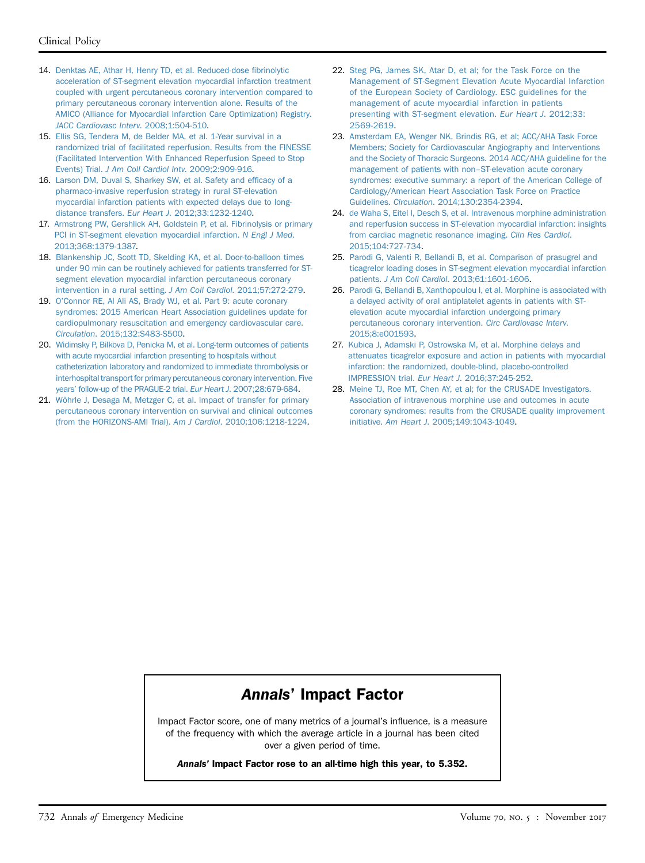- <span id="page-8-0"></span>14. [Denktas AE, Athar H, Henry TD, et al. Reduced-dose](http://refhub.elsevier.com/S0196-0644(17)31743-2/sref14) fibrinolytic [acceleration of ST-segment elevation myocardial infarction treatment](http://refhub.elsevier.com/S0196-0644(17)31743-2/sref14) [coupled with urgent percutaneous coronary intervention compared to](http://refhub.elsevier.com/S0196-0644(17)31743-2/sref14) [primary percutaneous coronary intervention alone. Results of the](http://refhub.elsevier.com/S0196-0644(17)31743-2/sref14) [AMICO \(Alliance for Myocardial Infarction Care Optimization\) Registry.](http://refhub.elsevier.com/S0196-0644(17)31743-2/sref14) [JACC Cardiovasc Interv](http://refhub.elsevier.com/S0196-0644(17)31743-2/sref14). 2008;1:504-510.
- <span id="page-8-1"></span>15. [Ellis SG, Tendera M, de Belder MA, et al. 1-Year survival in a](http://refhub.elsevier.com/S0196-0644(17)31743-2/sref15) [randomized trial of facilitated reperfusion. Results from the FINESSE](http://refhub.elsevier.com/S0196-0644(17)31743-2/sref15) [\(Facilitated Intervention With Enhanced Reperfusion Speed to Stop](http://refhub.elsevier.com/S0196-0644(17)31743-2/sref15) Events) Trial. [J Am Coll Cardiol Intv](http://refhub.elsevier.com/S0196-0644(17)31743-2/sref15). 2009;2:909-916.
- <span id="page-8-2"></span>16. [Larson DM, Duval S, Sharkey SW, et al. Safety and ef](http://refhub.elsevier.com/S0196-0644(17)31743-2/sref16)ficacy of a [pharmaco-invasive reperfusion strategy in rural ST-elevation](http://refhub.elsevier.com/S0196-0644(17)31743-2/sref16) [myocardial infarction patients with expected delays due to long](http://refhub.elsevier.com/S0196-0644(17)31743-2/sref16)distance transfers. Eur Heart J[. 2012;33:1232-1240](http://refhub.elsevier.com/S0196-0644(17)31743-2/sref16).
- <span id="page-8-3"></span>17. [Armstrong PW, Gershlick AH, Goldstein P, et al. Fibrinolysis or primary](http://refhub.elsevier.com/S0196-0644(17)31743-2/sref17) [PCI in ST-segment elevation myocardial infarction.](http://refhub.elsevier.com/S0196-0644(17)31743-2/sref17) N Engl J Med. [2013;368:1379-1387.](http://refhub.elsevier.com/S0196-0644(17)31743-2/sref17)
- <span id="page-8-4"></span>18. [Blankenship JC, Scott TD, Skelding KA, et al. Door-to-balloon times](http://refhub.elsevier.com/S0196-0644(17)31743-2/sref18) [under 90 min can be routinely achieved for patients transferred for ST](http://refhub.elsevier.com/S0196-0644(17)31743-2/sref18)[segment elevation myocardial infarction percutaneous coronary](http://refhub.elsevier.com/S0196-0644(17)31743-2/sref18) [intervention in a rural setting.](http://refhub.elsevier.com/S0196-0644(17)31743-2/sref18) J Am Coll Cardiol. 2011;57:272-279.
- <span id="page-8-5"></span>19. O'[Connor RE, Al Ali AS, Brady WJ, et al. Part 9: acute coronary](http://refhub.elsevier.com/S0196-0644(17)31743-2/sref19) [syndromes: 2015 American Heart Association guidelines update for](http://refhub.elsevier.com/S0196-0644(17)31743-2/sref19) [cardiopulmonary resuscitation and emergency cardiovascular care.](http://refhub.elsevier.com/S0196-0644(17)31743-2/sref19) Circulation[. 2015;132:S483-S500.](http://refhub.elsevier.com/S0196-0644(17)31743-2/sref19)
- <span id="page-8-6"></span>20. [Widimsky P, Bilkova D, Penicka M, et al. Long-term outcomes of patients](http://refhub.elsevier.com/S0196-0644(17)31743-2/sref20) [with acute myocardial infarction presenting to hospitals without](http://refhub.elsevier.com/S0196-0644(17)31743-2/sref20) [catheterization laboratory and randomized to immediate thrombolysis or](http://refhub.elsevier.com/S0196-0644(17)31743-2/sref20) interhospital transport for primary percutaneous coronary intervention. Five years' [follow-up of the PRAGUE-2 trial.](http://refhub.elsevier.com/S0196-0644(17)31743-2/sref20) Eur Heart J. 2007;28:679-684.
- <span id="page-8-7"></span>21. [Wöhrle J, Desaga M, Metzger C, et al. Impact of transfer for primary](http://refhub.elsevier.com/S0196-0644(17)31743-2/sref21) [percutaneous coronary intervention on survival and clinical outcomes](http://refhub.elsevier.com/S0196-0644(17)31743-2/sref21) [\(from the HORIZONS-AMI Trial\).](http://refhub.elsevier.com/S0196-0644(17)31743-2/sref21) Am J Cardiol. 2010;106:1218-1224.
- <span id="page-8-8"></span>22. [Steg PG, James SK, Atar D, et al; for the Task Force on the](http://refhub.elsevier.com/S0196-0644(17)31743-2/sref22) [Management of ST-Segment Elevation Acute Myocardial Infarction](http://refhub.elsevier.com/S0196-0644(17)31743-2/sref22) [of the European Society of Cardiology. ESC guidelines for the](http://refhub.elsevier.com/S0196-0644(17)31743-2/sref22) [management of acute myocardial infarction in patients](http://refhub.elsevier.com/S0196-0644(17)31743-2/sref22) [presenting with ST-segment elevation.](http://refhub.elsevier.com/S0196-0644(17)31743-2/sref22) Eur Heart J. 2012;33: [2569-2619](http://refhub.elsevier.com/S0196-0644(17)31743-2/sref22).
- <span id="page-8-9"></span>23. [Amsterdam EA, Wenger NK, Brindis RG, et al; ACC/AHA Task Force](http://refhub.elsevier.com/S0196-0644(17)31743-2/sref23) [Members; Society for Cardiovascular Angiography and Interventions](http://refhub.elsevier.com/S0196-0644(17)31743-2/sref23) [and the Society of Thoracic Surgeons. 2014 ACC/AHA guideline for the](http://refhub.elsevier.com/S0196-0644(17)31743-2/sref23) [management of patients with non](http://refhub.elsevier.com/S0196-0644(17)31743-2/sref23)–[ST-elevation acute coronary](http://refhub.elsevier.com/S0196-0644(17)31743-2/sref23) [syndromes: executive summary: a report of the American College of](http://refhub.elsevier.com/S0196-0644(17)31743-2/sref23) [Cardiology/American Heart Association Task Force on Practice](http://refhub.elsevier.com/S0196-0644(17)31743-2/sref23) Guidelines. Circulation[. 2014;130:2354-2394](http://refhub.elsevier.com/S0196-0644(17)31743-2/sref23).
- <span id="page-8-10"></span>24. [de Waha S, Eitel I, Desch S, et al. Intravenous morphine administration](http://refhub.elsevier.com/S0196-0644(17)31743-2/sref24) [and reperfusion success in ST-elevation myocardial infarction: insights](http://refhub.elsevier.com/S0196-0644(17)31743-2/sref24) [from cardiac magnetic resonance imaging.](http://refhub.elsevier.com/S0196-0644(17)31743-2/sref24) Clin Res Cardiol. [2015;104:727-734](http://refhub.elsevier.com/S0196-0644(17)31743-2/sref24).
- <span id="page-8-11"></span>25. [Parodi G, Valenti R, Bellandi B, et al. Comparison of prasugrel and](http://refhub.elsevier.com/S0196-0644(17)31743-2/sref25) [ticagrelor loading doses in ST-segment elevation myocardial infarction](http://refhub.elsevier.com/S0196-0644(17)31743-2/sref25) patients. J Am Coll Cardiol[. 2013;61:1601-1606](http://refhub.elsevier.com/S0196-0644(17)31743-2/sref25).
- <span id="page-8-12"></span>26. [Parodi G, Bellandi B, Xanthopoulou I, et al. Morphine is associated with](http://refhub.elsevier.com/S0196-0644(17)31743-2/sref26) [a delayed activity of oral antiplatelet agents in patients with ST](http://refhub.elsevier.com/S0196-0644(17)31743-2/sref26)[elevation acute myocardial infarction undergoing primary](http://refhub.elsevier.com/S0196-0644(17)31743-2/sref26) [percutaneous coronary intervention.](http://refhub.elsevier.com/S0196-0644(17)31743-2/sref26) Circ Cardiovasc Interv. [2015;8:e001593.](http://refhub.elsevier.com/S0196-0644(17)31743-2/sref26)
- <span id="page-8-13"></span>27. [Kubica J, Adamski P, Ostrowska M, et al. Morphine delays and](http://refhub.elsevier.com/S0196-0644(17)31743-2/sref27) [attenuates ticagrelor exposure and action in patients with myocardial](http://refhub.elsevier.com/S0196-0644(17)31743-2/sref27) [infarction: the randomized, double-blind, placebo-controlled](http://refhub.elsevier.com/S0196-0644(17)31743-2/sref27) IMPRESSION trial. Eur Heart J[. 2016;37:245-252.](http://refhub.elsevier.com/S0196-0644(17)31743-2/sref27)
- <span id="page-8-14"></span>28. [Meine TJ, Roe MT, Chen AY, et al; for the CRUSADE Investigators.](http://refhub.elsevier.com/S0196-0644(17)31743-2/sref28) [Association of intravenous morphine use and outcomes in acute](http://refhub.elsevier.com/S0196-0644(17)31743-2/sref28) [coronary syndromes: results from the CRUSADE quality improvement](http://refhub.elsevier.com/S0196-0644(17)31743-2/sref28) initiative. Am Heart J[. 2005;149:1043-1049.](http://refhub.elsevier.com/S0196-0644(17)31743-2/sref28)

## Annals' Impact Factor

Impact Factor score, one of many metrics of a journal's influence, is a measure of the frequency with which the average article in a journal has been cited over a given period of time.

Annals' Impact Factor rose to an all-time high this year, to 5.352.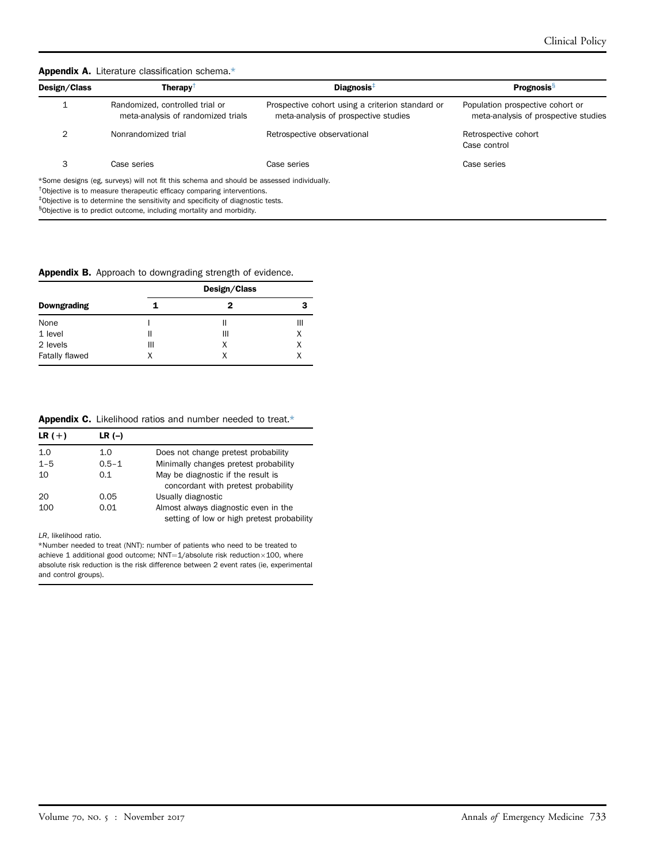#### <span id="page-9-0"></span>Appendix A. Literature classification schema[.\\*](#page-9-4)

| Design/Class | <b>Therapy</b>                                                                                                                                                                  | Diagnosis $+$                                                                            | Prognosis <sup>§</sup><br>Population prospective cohort or<br>meta-analysis of prospective studies |  |
|--------------|---------------------------------------------------------------------------------------------------------------------------------------------------------------------------------|------------------------------------------------------------------------------------------|----------------------------------------------------------------------------------------------------|--|
|              | Randomized, controlled trial or<br>meta-analysis of randomized trials                                                                                                           | Prospective cohort using a criterion standard or<br>meta-analysis of prospective studies |                                                                                                    |  |
| ⌒            | Nonrandomized trial                                                                                                                                                             | Retrospective observational                                                              | Retrospective cohort<br>Case control                                                               |  |
| 3            | Case series                                                                                                                                                                     | Case series                                                                              | Case series                                                                                        |  |
|              | *Some designs (eg, surveys) will not fit this schema and should be assessed individually.<br><sup>†</sup> Objective is to measure therapeutic efficacy comparing interventions. |                                                                                          |                                                                                                    |  |

<span id="page-9-6"></span><span id="page-9-5"></span><span id="page-9-4"></span>‡ Objective is to determine the sensitivity and specificity of diagnostic tests.

<span id="page-9-7"></span>§ Objective is to predict outcome, including mortality and morbidity.

#### <span id="page-9-2"></span><span id="page-9-1"></span>Appendix B. Approach to downgrading strength of evidence.

|                    | Design/Class |   |   |  |
|--------------------|--------------|---|---|--|
| <b>Downgrading</b> | 1            | 2 |   |  |
| None               |              | Ш | Ш |  |
| 1 level            | Ш            | Ш | Χ |  |
| 2 levels           | Ш            | X |   |  |
| Fatally flawed     | х            |   |   |  |

| <b>Appendix C.</b> Likelihood ratios and number needed to treat.* |  |
|-------------------------------------------------------------------|--|
|-------------------------------------------------------------------|--|

| LR $(+)$ | LR $(-)$  |                                                                           |
|----------|-----------|---------------------------------------------------------------------------|
| 1.0      | 1.0       | Does not change pretest probability                                       |
| $1 - 5$  | $0.5 - 1$ | Minimally changes pretest probability                                     |
| 10       | 0.1       | May be diagnostic if the result is<br>concordant with pretest probability |
| 20       | 0.05      | Usually diagnostic                                                        |
| 100      | 0.01      | Almost always diagnostic even in the                                      |
|          |           | setting of low or high pretest probability                                |

<span id="page-9-3"></span>LR, likelihood ratio.

<span id="page-9-8"></span>\*Number needed to treat (NNT): number of patients who need to be treated to achieve 1 additional good outcome; NNT=1/absolute risk reduction $\times100$ , where absolute risk reduction is the risk difference between 2 event rates (ie, experimental and control groups).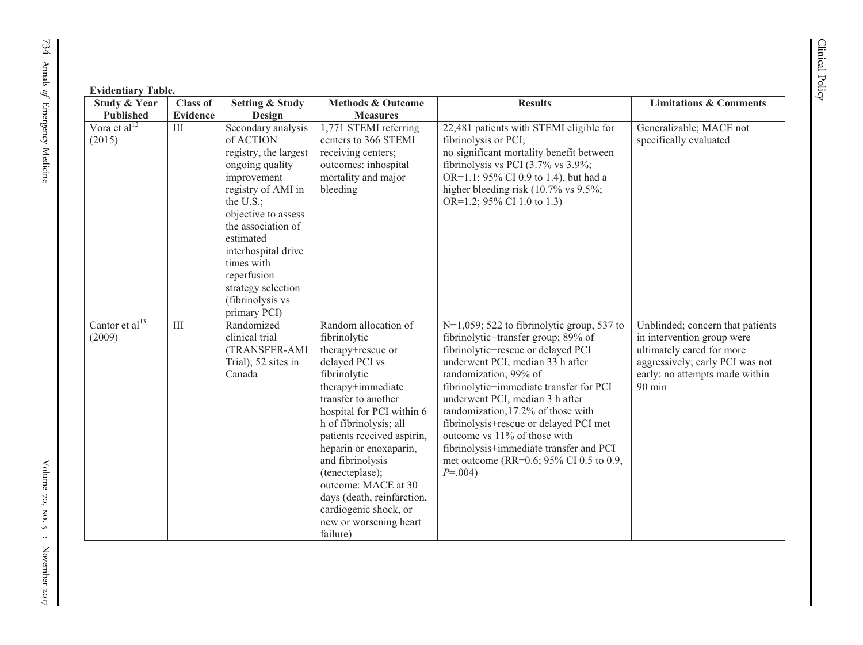| <b>Evidentiary Table.</b>            |                 |                                                                                                                                                                                                                                                                                                       |                                                                                                                                                                                                                                                                                                                                                                                                                   |                                                                                                                                                                                                                                                                                                                                                                                                                                                                                            |                                                                                                                                                                                      |  |
|--------------------------------------|-----------------|-------------------------------------------------------------------------------------------------------------------------------------------------------------------------------------------------------------------------------------------------------------------------------------------------------|-------------------------------------------------------------------------------------------------------------------------------------------------------------------------------------------------------------------------------------------------------------------------------------------------------------------------------------------------------------------------------------------------------------------|--------------------------------------------------------------------------------------------------------------------------------------------------------------------------------------------------------------------------------------------------------------------------------------------------------------------------------------------------------------------------------------------------------------------------------------------------------------------------------------------|--------------------------------------------------------------------------------------------------------------------------------------------------------------------------------------|--|
| <b>Study &amp; Year</b>              | <b>Class of</b> | <b>Setting &amp; Study</b>                                                                                                                                                                                                                                                                            | <b>Methods &amp; Outcome</b>                                                                                                                                                                                                                                                                                                                                                                                      | <b>Results</b>                                                                                                                                                                                                                                                                                                                                                                                                                                                                             | <b>Limitations &amp; Comments</b>                                                                                                                                                    |  |
| <b>Published</b>                     | <b>Evidence</b> | Design                                                                                                                                                                                                                                                                                                | <b>Measures</b>                                                                                                                                                                                                                                                                                                                                                                                                   |                                                                                                                                                                                                                                                                                                                                                                                                                                                                                            |                                                                                                                                                                                      |  |
| Vora et al $^{12}$<br>(2015)         | III             | Secondary analysis<br>of ACTION<br>registry, the largest<br>ongoing quality<br>improvement<br>registry of AMI in<br>the U.S.;<br>objective to assess<br>the association of<br>estimated<br>interhospital drive<br>times with<br>reperfusion<br>strategy selection<br>(fibrinolysis vs<br>primary PCI) | 1,771 STEMI referring<br>centers to 366 STEMI<br>receiving centers;<br>outcomes: inhospital<br>mortality and major<br>bleeding                                                                                                                                                                                                                                                                                    | 22,481 patients with STEMI eligible for<br>fibrinolysis or PCI;<br>no significant mortality benefit between<br>fibrinolysis vs PCI $(3.7\% \text{ vs } 3.9\%);$<br>OR=1.1; 95% CI 0.9 to 1.4), but had a<br>higher bleeding risk $(10.7\% \text{ vs } 9.5\%;$<br>OR=1.2; 95% CI 1.0 to 1.3)                                                                                                                                                                                                | Generalizable; MACE not<br>specifically evaluated                                                                                                                                    |  |
| Cantor et al <sup>13</sup><br>(2009) | III             | Randomized<br>clinical trial<br>(TRANSFER-AMI<br>Trial); 52 sites in<br>Canada                                                                                                                                                                                                                        | Random allocation of<br>fibrinolytic<br>therapy+rescue or<br>delayed PCI vs<br>fibrinolytic<br>therapy+immediate<br>transfer to another<br>hospital for PCI within 6<br>h of fibrinolysis; all<br>patients received aspirin,<br>heparin or enoxaparin,<br>and fibrinolysis<br>(tenecteplase);<br>outcome: MACE at 30<br>days (death, reinfarction,<br>cardiogenic shock, or<br>new or worsening heart<br>failure) | $N=1,059$ ; 522 to fibrinolytic group, 537 to<br>fibrinolytic+transfer group; 89% of<br>fibrinolytic+rescue or delayed PCI<br>underwent PCI, median 33 h after<br>randomization; 99% of<br>fibrinolytic+immediate transfer for PCI<br>underwent PCI, median 3 h after<br>randomization; 17.2% of those with<br>fibrinolysis+rescue or delayed PCI met<br>outcome vs 11% of those with<br>fibrinolysis+immediate transfer and PCI<br>met outcome (RR=0.6; 95% CI 0.5 to 0.9,<br>$P = 0.004$ | Unblinded; concern that patients<br>in intervention group were<br>ultimately cared for more<br>aggressively; early PCI was not<br>early: no attempts made within<br>$90 \text{ min}$ |  |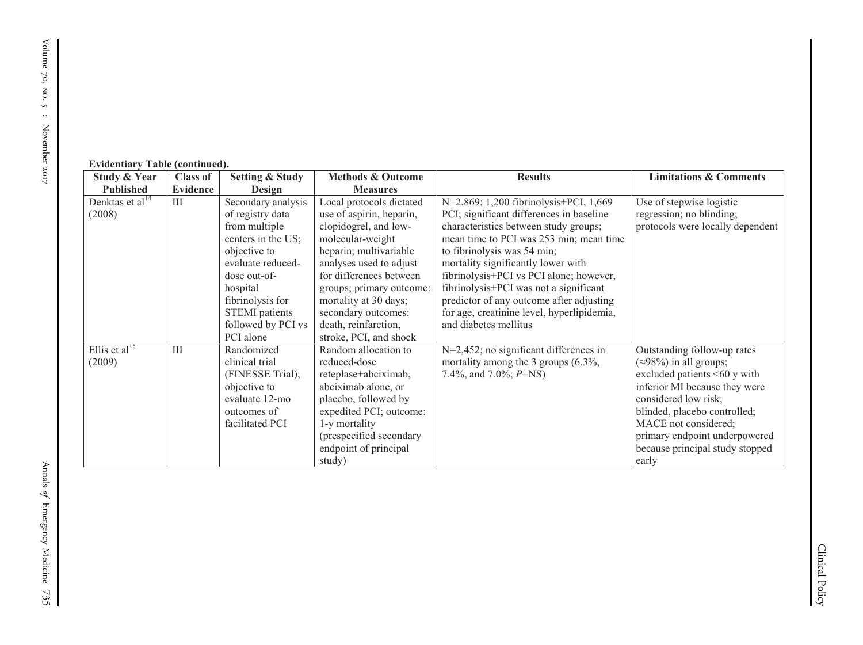| Evidentiary Lable (continued). |                 |                            |                              |                                            |                                    |  |
|--------------------------------|-----------------|----------------------------|------------------------------|--------------------------------------------|------------------------------------|--|
| <b>Study &amp; Year</b>        | <b>Class of</b> | <b>Setting &amp; Study</b> | <b>Methods &amp; Outcome</b> | <b>Results</b>                             | <b>Limitations &amp; Comments</b>  |  |
| <b>Published</b>               | <b>Evidence</b> | Design                     | <b>Measures</b>              |                                            |                                    |  |
| Denktas et al <sup>14</sup>    | Ш               | Secondary analysis         | Local protocols dictated     | N=2,869; 1,200 fibrinolysis+PCI, 1,669     | Use of stepwise logistic           |  |
| (2008)                         |                 | of registry data           | use of aspirin, heparin,     | PCI; significant differences in baseline   | regression; no blinding;           |  |
|                                |                 | from multiple              | clopidogrel, and low-        | characteristics between study groups;      | protocols were locally dependent   |  |
|                                |                 | centers in the US;         | molecular-weight             | mean time to PCI was 253 min; mean time    |                                    |  |
|                                |                 | objective to               | heparin; multivariable       | to fibrinolysis was 54 min;                |                                    |  |
|                                |                 | evaluate reduced-          | analyses used to adjust      | mortality significantly lower with         |                                    |  |
|                                |                 | dose out-of-               | for differences between      | fibrinolysis+PCI vs PCI alone; however,    |                                    |  |
|                                |                 | hospital                   | groups; primary outcome:     | fibrinolysis+PCI was not a significant     |                                    |  |
|                                |                 | fibrinolysis for           | mortality at 30 days;        | predictor of any outcome after adjusting   |                                    |  |
|                                |                 | <b>STEMI</b> patients      | secondary outcomes:          | for age, creatinine level, hyperlipidemia, |                                    |  |
|                                |                 | followed by PCI vs         | death, reinfarction,         | and diabetes mellitus                      |                                    |  |
|                                |                 | PCI alone                  | stroke, PCI, and shock       |                                            |                                    |  |
| Ellis et al <sup>15</sup>      | III             | Randomized                 | Random allocation to         | $N=2,452$ ; no significant differences in  | Outstanding follow-up rates        |  |
| (2009)                         |                 | clinical trial             | reduced-dose                 | mortality among the 3 groups (6.3%,        | $(\approx 98\%)$ in all groups;    |  |
|                                |                 | (FINESSE Trial);           | reteplase+abciximab,         | 7.4%, and 7.0%; $P=NS$ )                   | excluded patients $\leq 60$ y with |  |
|                                |                 | objective to               | abciximab alone, or          |                                            | inferior MI because they were      |  |
|                                |                 | evaluate 12-mo             | placebo, followed by         |                                            | considered low risk;               |  |
|                                |                 | outcomes of                | expedited PCI; outcome:      |                                            | blinded, placebo controlled;       |  |
|                                |                 | facilitated PCI            | 1-y mortality                |                                            | MACE not considered;               |  |
|                                |                 |                            | (prespecified secondary      |                                            | primary endpoint underpowered      |  |
|                                |                 |                            | endpoint of principal        |                                            | because principal study stopped    |  |
|                                |                 |                            | study)                       |                                            | early                              |  |

#### **Evidentiary Table (continued).**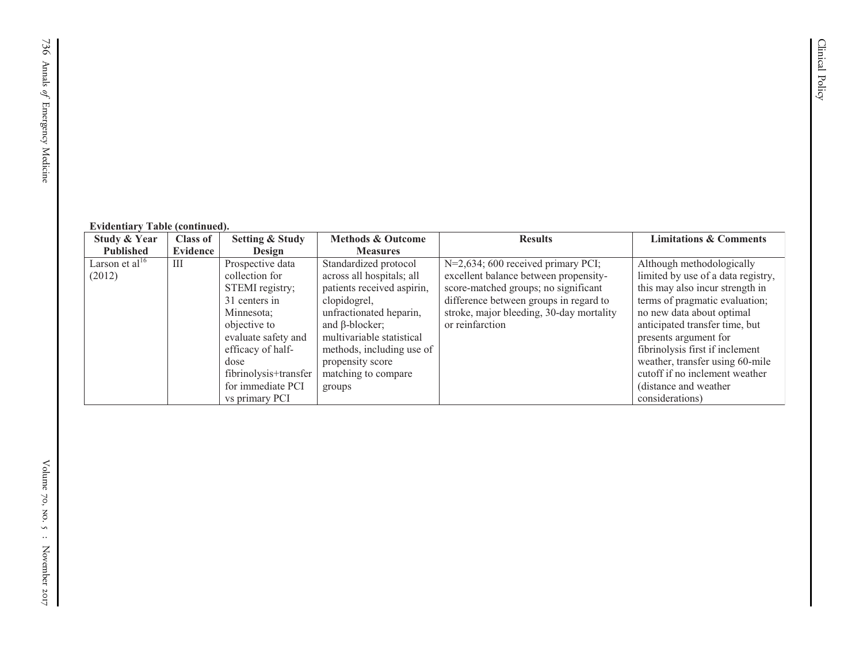#### **Evidentiary Table (continued).**

| <b>Study &amp; Year</b>    | <b>Class of</b> | <b>Setting &amp; Study</b> | <b>Methods &amp; Outcome</b> | <b>Results</b>                           | <b>Limitations &amp; Comments</b>  |
|----------------------------|-----------------|----------------------------|------------------------------|------------------------------------------|------------------------------------|
| <b>Published</b>           | Evidence        | Design                     | <b>Measures</b>              |                                          |                                    |
| Larson et al <sup>16</sup> | Ш               | Prospective data           | Standardized protocol        | N=2,634; 600 received primary PCI;       | Although methodologically          |
| (2012)                     |                 | collection for             | across all hospitals; all    | excellent balance between propensity-    | limited by use of a data registry, |
|                            |                 | STEMI registry;            | patients received aspirin,   | score-matched groups; no significant     | this may also incur strength in    |
|                            |                 | 31 centers in              | clopidogrel,                 | difference between groups in regard to   | terms of pragmatic evaluation;     |
|                            |                 | Minnesota;                 | unfractionated heparin,      | stroke, major bleeding, 30-day mortality | no new data about optimal          |
|                            |                 | objective to               | and $\beta$ -blocker;        | or reinfarction                          | anticipated transfer time, but     |
|                            |                 | evaluate safety and        | multivariable statistical    |                                          | presents argument for              |
|                            |                 | efficacy of half-          | methods, including use of    |                                          | fibrinolysis first if inclement    |
|                            |                 | dose                       | propensity score             |                                          | weather, transfer using 60-mile    |
|                            |                 | fibrinolysis+transfer      | matching to compare          |                                          | cutoff if no inclement weather     |
|                            |                 | for immediate PCI          | groups                       |                                          | (distance and weather)             |
|                            |                 | vs primary PCI             |                              |                                          | considerations)                    |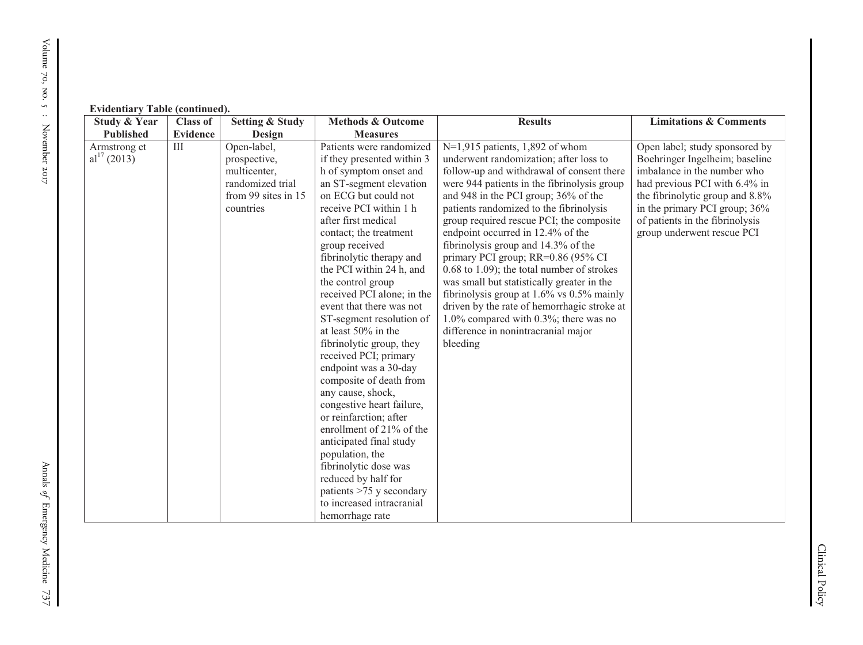| <b>Study &amp; Year</b>         | <b>Class of</b> | <b>Setting &amp; Study</b>                                                                          | <b>Methods &amp; Outcome</b>                                                                                                                                                                                                                                                                                                                                                                                                                                                                                                                                                                                                                                                                                                                                                                                             | <b>Results</b>                                                                                                                                                                                                                                                                                                                                                                                                                                                                                                                                                                                                                                                                                                               | <b>Limitations &amp; Comments</b>                                                                                                                                                                                                                                     |
|---------------------------------|-----------------|-----------------------------------------------------------------------------------------------------|--------------------------------------------------------------------------------------------------------------------------------------------------------------------------------------------------------------------------------------------------------------------------------------------------------------------------------------------------------------------------------------------------------------------------------------------------------------------------------------------------------------------------------------------------------------------------------------------------------------------------------------------------------------------------------------------------------------------------------------------------------------------------------------------------------------------------|------------------------------------------------------------------------------------------------------------------------------------------------------------------------------------------------------------------------------------------------------------------------------------------------------------------------------------------------------------------------------------------------------------------------------------------------------------------------------------------------------------------------------------------------------------------------------------------------------------------------------------------------------------------------------------------------------------------------------|-----------------------------------------------------------------------------------------------------------------------------------------------------------------------------------------------------------------------------------------------------------------------|
| <b>Published</b>                | Evidence        | Design                                                                                              | <b>Measures</b>                                                                                                                                                                                                                                                                                                                                                                                                                                                                                                                                                                                                                                                                                                                                                                                                          |                                                                                                                                                                                                                                                                                                                                                                                                                                                                                                                                                                                                                                                                                                                              |                                                                                                                                                                                                                                                                       |
| Armstrong et<br>$al^{17}(2013)$ | $\rm III$       | Open-label,<br>prospective,<br>multicenter,<br>randomized trial<br>from 99 sites in 15<br>countries | Patients were randomized<br>if they presented within 3<br>h of symptom onset and<br>an ST-segment elevation<br>on ECG but could not<br>receive PCI within 1 h<br>after first medical<br>contact; the treatment<br>group received<br>fibrinolytic therapy and<br>the PCI within 24 h, and<br>the control group<br>received PCI alone; in the<br>event that there was not<br>ST-segment resolution of<br>at least $50\%$ in the<br>fibrinolytic group, they<br>received PCI; primary<br>endpoint was a 30-day<br>composite of death from<br>any cause, shock,<br>congestive heart failure,<br>or reinfarction; after<br>enrollment of 21% of the<br>anticipated final study<br>population, the<br>fibrinolytic dose was<br>reduced by half for<br>patients >75 y secondary<br>to increased intracranial<br>hemorrhage rate | $N=1,915$ patients, 1,892 of whom<br>underwent randomization; after loss to<br>follow-up and withdrawal of consent there<br>were 944 patients in the fibrinolysis group<br>and 948 in the PCI group; 36% of the<br>patients randomized to the fibrinolysis<br>group required rescue PCI; the composite<br>endpoint occurred in 12.4% of the<br>fibrinolysis group and 14.3% of the<br>primary PCI group; RR=0.86 (95% CI<br>$(0.68 \text{ to } 1.09)$ ; the total number of strokes<br>was small but statistically greater in the<br>fibrinolysis group at $1.6\%$ vs 0.5% mainly<br>driven by the rate of hemorrhagic stroke at<br>1.0% compared with 0.3%; there was no<br>difference in nonintracranial major<br>bleeding | Open label; study sponsored by<br>Boehringer Ingelheim; baseline<br>imbalance in the number who<br>had previous PCI with 6.4% in<br>the fibrinolytic group and 8.8%<br>in the primary PCI group; 36%<br>of patients in the fibrinolysis<br>group underwent rescue PCI |

 $\overline{\phantom{a}}$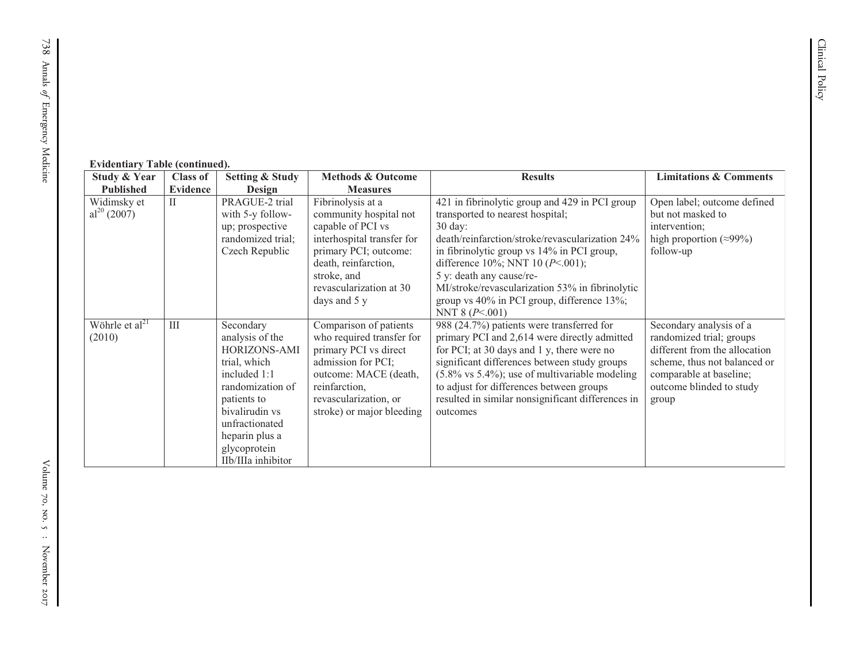#### **Evidentiary Table (continued).**

| <b>Study &amp; Year</b>         | етисния у тарк (сониниси).<br><b>Class of</b> | <b>Setting &amp; Study</b>                                                                                                                                                                                  | <b>Methods &amp; Outcome</b>                                                                                                                                                                              | <b>Results</b>                                                                                                                                                                                                                                                                                                                                                                                       | <b>Limitations &amp; Comments</b>                                                                                                                                                    |
|---------------------------------|-----------------------------------------------|-------------------------------------------------------------------------------------------------------------------------------------------------------------------------------------------------------------|-----------------------------------------------------------------------------------------------------------------------------------------------------------------------------------------------------------|------------------------------------------------------------------------------------------------------------------------------------------------------------------------------------------------------------------------------------------------------------------------------------------------------------------------------------------------------------------------------------------------------|--------------------------------------------------------------------------------------------------------------------------------------------------------------------------------------|
| <b>Published</b>                | Evidence                                      | Design                                                                                                                                                                                                      | <b>Measures</b>                                                                                                                                                                                           |                                                                                                                                                                                                                                                                                                                                                                                                      |                                                                                                                                                                                      |
| Widimsky et<br>$al^{20}$ (2007) | П                                             | PRAGUE-2 trial<br>with 5-y follow-<br>up; prospective<br>randomized trial;<br>Czech Republic                                                                                                                | Fibrinolysis at a<br>community hospital not<br>capable of PCI vs<br>interhospital transfer for<br>primary PCI; outcome:<br>death, reinfarction,<br>stroke, and<br>revascularization at 30<br>days and 5 y | 421 in fibrinolytic group and 429 in PCI group<br>transported to nearest hospital;<br>$30 \text{ day}$ :<br>death/reinfarction/stroke/revascularization 24%<br>in fibrinolytic group vs 14% in PCI group,<br>difference 10%; NNT 10 ( $P<.001$ );<br>5 y: death any cause/re-<br>MI/stroke/revascularization 53% in fibrinolytic<br>group vs $40\%$ in PCI group, difference 13%;<br>NNT $8(P<.001)$ | Open label; outcome defined<br>but not masked to<br>intervention;<br>high proportion $(\approx 99\%)$<br>follow-up                                                                   |
| Wöhrle et $al21$<br>(2010)      | III                                           | Secondary<br>analysis of the<br>HORIZONS-AMI<br>trial, which<br>included 1:1<br>randomization of<br>patients to<br>bivalirudin vs<br>unfractionated<br>heparin plus a<br>glycoprotein<br>IIb/IIIa inhibitor | Comparison of patients<br>who required transfer for<br>primary PCI vs direct<br>admission for PCI;<br>outcome: MACE (death,<br>reinfarction,<br>revascularization, or<br>stroke) or major bleeding        | 988 (24.7%) patients were transferred for<br>primary PCI and 2,614 were directly admitted<br>for PCI; at 30 days and 1 y, there were no<br>significant differences between study groups<br>$(5.8\% \text{ vs } 5.4\%);$ use of multivariable modeling<br>to adjust for differences between groups<br>resulted in similar nonsignificant differences in<br>outcomes                                   | Secondary analysis of a<br>randomized trial; groups<br>different from the allocation<br>scheme, thus not balanced or<br>comparable at baseline;<br>outcome blinded to study<br>group |